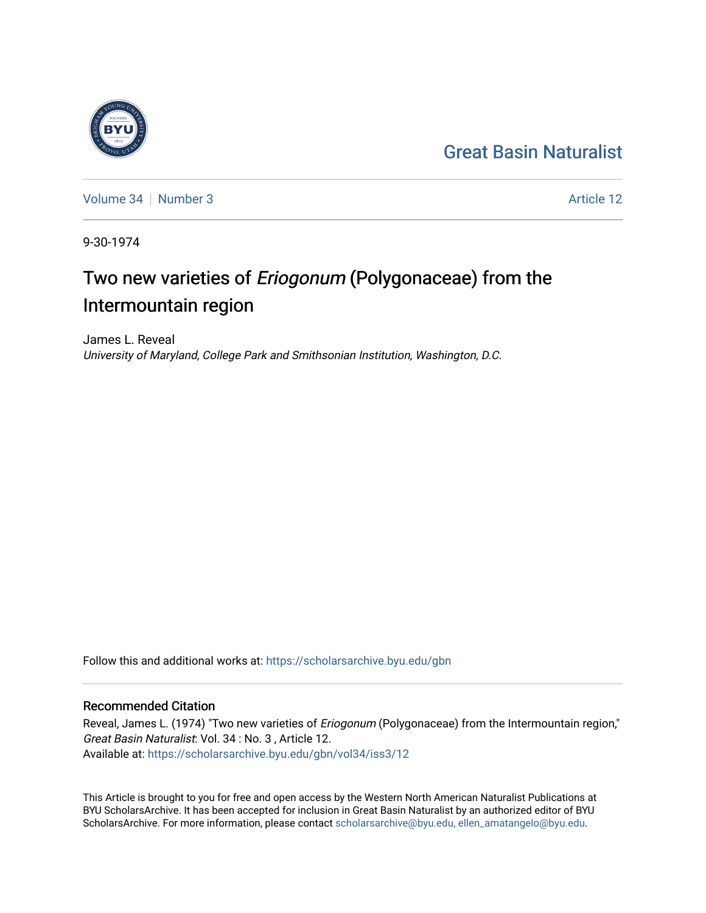# [Great Basin Naturalist](https://scholarsarchive.byu.edu/gbn)



[Volume 34](https://scholarsarchive.byu.edu/gbn/vol34) | [Number 3](https://scholarsarchive.byu.edu/gbn/vol34/iss3) Article 12

9-30-1974

# Two new varieties of Eriogonum (Polygonaceae) from the Intermountain region

James L. Reveal University of Maryland, College Park and Smithsonian Institution, Washington, D.C.

Follow this and additional works at: [https://scholarsarchive.byu.edu/gbn](https://scholarsarchive.byu.edu/gbn?utm_source=scholarsarchive.byu.edu%2Fgbn%2Fvol34%2Fiss3%2F12&utm_medium=PDF&utm_campaign=PDFCoverPages) 

## Recommended Citation

Reveal, James L. (1974) "Two new varieties of Eriogonum (Polygonaceae) from the Intermountain region," Great Basin Naturalist: Vol. 34 : No. 3 , Article 12. Available at: [https://scholarsarchive.byu.edu/gbn/vol34/iss3/12](https://scholarsarchive.byu.edu/gbn/vol34/iss3/12?utm_source=scholarsarchive.byu.edu%2Fgbn%2Fvol34%2Fiss3%2F12&utm_medium=PDF&utm_campaign=PDFCoverPages) 

This Article is brought to you for free and open access by the Western North American Naturalist Publications at BYU ScholarsArchive. It has been accepted for inclusion in Great Basin Naturalist by an authorized editor of BYU ScholarsArchive. For more information, please contact [scholarsarchive@byu.edu, ellen\\_amatangelo@byu.edu.](mailto:scholarsarchive@byu.edu,%20ellen_amatangelo@byu.edu)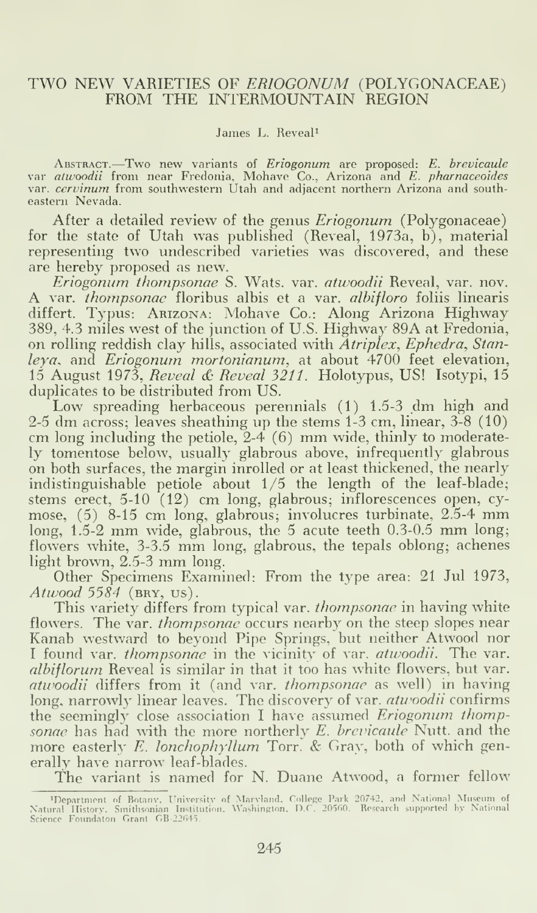### TWO NEW VARIETIES OF ERIOGONUM (POLYGONACEAE) FROM THE INTERMOUNTAIN REGION

#### James L. Reveal<sup>1</sup>

ABSTRACT.—Two new variants of *Eriogonum* are proposed: *E. brevicaule* var *atwoodii* from near Fredonia, Mohave Co., Arizona and *E. pharnaceoides* var. *cervinum* from southwestern Utah and adjacent northern Arizona and eastern Nevada.

After a detailed review of the genus *Eriogonum* (Polygonaceae) for the state of Utah was published (Reveal, 1973a, b), material representing two undescribed varieties was discovered, and these are hereby proposed as new.<br> *Eriogonum thompsonae* S. Wats. var. *atwoodii* Reveal, var. nov.

A var. *thompsonae* floribus albis et a var. *albifloro* foliis linearis differt. Typus: Arizona: Mohave Co.: Along Arizona Highway 389, 4.3 miles west of the junction of U.S. Highway 89A at Fredonia, on rolling reddish clay hills, associated with Atriplex, Ephedra, Stanleya, and Eriogonum mortonianum, at about 4700 feet elevation, 15 August 1973, Reveal & Reveal 3211. Holotypus, US! Isotypi, 15 duplicates to be distributed from US.

Low spreading herbaceous perennials (1) 1.5-3 dm high and 2-5 dm across; leaves sheathing up the stems 1-3 cm, linear, 3-8 (10) cm long including the petiole,  $2-4$  (6) mm wide, thinly to moderately tomentose below, usually glabrous above, infrequently glabrous on both surfaces, the margin inrolled or at least thickened, the nearly indistinguishable petiole about 1/5 the length of the leaf-blade; stems erect, 5-10 (12) cm long, glabrous; inflorescences open, cy mose, (5) 8-15 cm long, glabrous; involucres turbinate, 2.5-4 mm long, 1.5-2 mm wide, glabrous, the <sup>5</sup> acute teeth 0.3-0.5 mm long; flowers white, 3-3.5 mm long, glabrous, the tepals oblong; achenes light brown, 2.5-3 mm long.

Other Specimens Examined: From the type area: 21 Jul 1973, Atwood  $5584$  (BRY, US).

This variety differs from typical var. *thompsonae* in having white flowers. The var. *thompsonae* occurs nearby on the steep slopes near Kanab westward to beyond Pipe Springs, but neither Atwood nor I found var. *thompsonae* in the vicinity of var. *atwoodii*. The var. albiflorum Reveal is similar in that it too has white flowers, but var. atwoodii differs from it (and var. thompsonae as well) in having long, narrowly linear leaves. The discovery of var. atwoodii confirms the seemingly close association I have assumed Eriogonum thompsonae has had with the more northerly E. brevicaule Nutt. and the more easterly E. lonchophyllum Torr. & Gray, both of which generally have narrow leaf-blades.

The variant is named for N. Duane Atwood, <sup>a</sup> former fellow

<sup>&#</sup>x27;Department of Botany. University of Maryland, College Park 20742, and National Museum of<br>Natural Ilistory. Smithsonian Institution. Washington. D.C. 20560. Research supported by National<br>Science Foundaton Grant GB-22645.